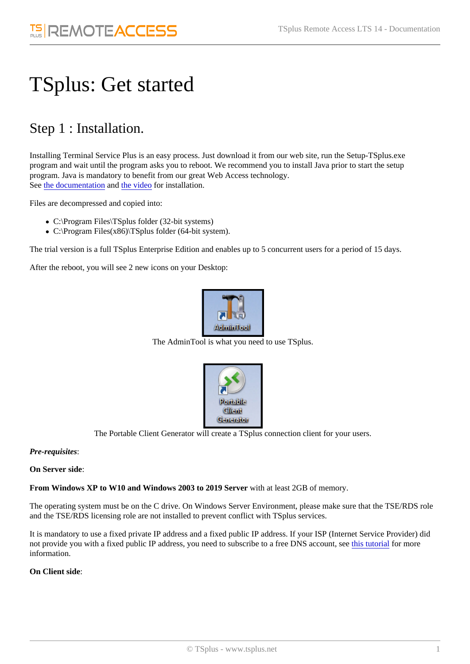# TSplus: Get started

## Step 1 : Installation.

Installing Terminal Service Plus is an easy process. Just download it from our web site, run the Setup-TSplus.exe program and wait until the program asks you to reboot. We recommend you to install Java prior to start the setup program. Java is mandatory to benefit from our great Web Access technology. Seethe documentationndthe video for installation.

Files are decompressed and copied into:

- C:\Program Files\TSplus folder (32-bit systems)
- C:\Program Files(x86)\TSplus folder (64-bit system).

The trial version is a full TSplus Enterprise Edition and enables up to 5 concurrent users for a period of 15 days.

After the reboot, you will see 2 new icons on your Desktop:

The AdminTool is what you need to use TSplus.

The Portable Client Generator will create a TSplus connection client for your users.

Pre-requisites:

On Server side:

From Windows XP to W10 and Windows 2003 to 2019 Servevith at least 2GB of memory.

The operating system must be on the C drive. On Windows Server Environment, please make sure that the TSE/RDS ro and the TSE/RDS licensing role are not installed to prevent conflict with TSplus services.

It is mandatory to use a fixed private IP address and a fixed public IP address. If your ISP (Internet Service Provider) did not provide you with a fixed public IP address, you need to subscribe to a free DNS accoldist, tstee ialfor more information.

On Client side: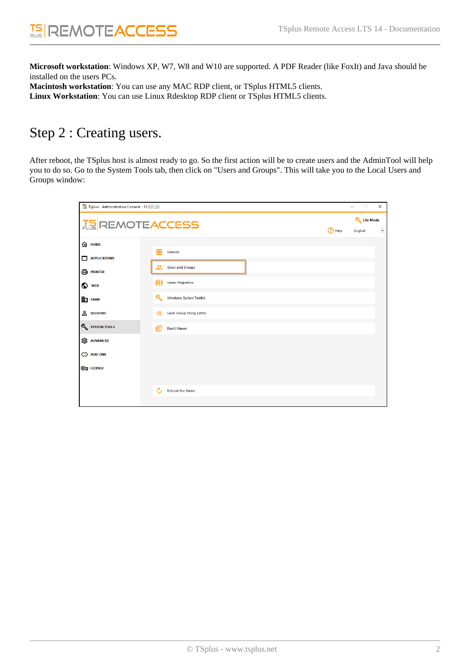**Microsoft workstation**: Windows XP, W7, W8 and W10 are supported. A PDF Reader (like FoxIt) and Java should be installed on the users PCs. **Macintosh workstation**: You can use any MAC RDP client, or TSplus HTML5 clients.

**Linux Workstation**: You can use Linux Rdesktop RDP client or TSplus HTML5 clients.

### Step 2 : Creating users.

After reboot, the TSplus host is almost ready to go. So the first action will be to create users and the AdminTool will help you to do so. Go to the System Tools tab, then click on "Users and Groups". This will take you to the Local Users and Groups window:

| T TSplus - Administration Console - 15. |                                                                             |          | $\Box$<br>-    | $\times$            |
|-----------------------------------------|-----------------------------------------------------------------------------|----------|----------------|---------------------|
| <b>TS REMOTEACCESS</b>                  |                                                                             |          | Lite Mode      |                     |
| <b>介 HOME</b>                           |                                                                             | (?) Help | <b>English</b> | $\bar{\phantom{a}}$ |
| <b>APPLICATIONS</b><br>□                | 囪<br><b>Services</b>                                                        |          |                |                     |
| 骨 PRINTER                               | <b>OR</b> Users and Groups                                                  |          |                |                     |
| ⊙<br><b>WEB</b>                         | 999<br><b>Server Properties</b>                                             |          |                |                     |
| <b>EET FARM</b>                         | ৎ<br>Windows System Toolkit                                                 |          |                |                     |
| <b>SESSIONS</b><br>SYSTEM TOOLS         | <b>Local Group Policy Editor</b><br><b>Form</b><br>旧<br><b>Event Viewer</b> |          |                |                     |
| <b>EDS</b> ADVANCED                     |                                                                             |          |                |                     |
| 끊 ADD-ONS                               |                                                                             |          |                |                     |
| <b>@ LICENSE</b>                        |                                                                             |          |                |                     |
|                                         | Ó<br><b>Reboot the Server</b>                                               |          |                |                     |
|                                         |                                                                             |          |                |                     |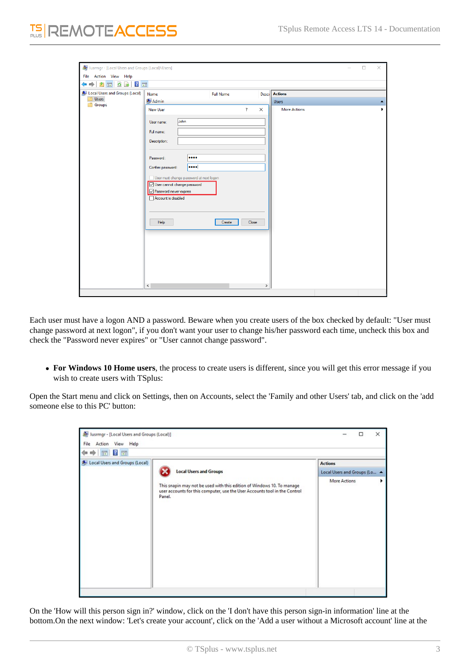| lusrmgr - [Local Users and Groups (Local)\Users]<br>File Action View Help |                                                                                                                                                                                                                                                    |                          |          |                                     | □ | $\times$ |
|---------------------------------------------------------------------------|----------------------------------------------------------------------------------------------------------------------------------------------------------------------------------------------------------------------------------------------------|--------------------------|----------|-------------------------------------|---|----------|
| $\Rightarrow$ $\boxed{?}$ $\Box$<br>⇔ ⇔<br>$\Omega$<br>Y<br>$\  \cdot \ $ |                                                                                                                                                                                                                                                    |                          |          |                                     |   |          |
| Local Users and Groups (Local)<br><b>Users</b><br>Groups<br>r             | Name                                                                                                                                                                                                                                               | <b>Full Name</b>         |          | <b>Desci</b> Actions                |   |          |
|                                                                           | Admin<br><b>New User</b>                                                                                                                                                                                                                           | $\overline{\mathcal{L}}$ | $\times$ | <b>Users</b><br><b>More Actions</b> |   |          |
|                                                                           | John<br>User name:<br>Full name:<br>Description:<br><br>Password:<br>$\cdots$<br>Confirm password:<br>User must change password at next logon<br>User cannot change password<br>Password never expires<br>Account is disabled<br>Help<br>$\langle$ | Close<br>Create          | $\,$     |                                     |   |          |

Each user must have a logon AND a password. Beware when you create users of the box checked by default: "User must change password at next logon", if you don't want your user to change his/her password each time, uncheck this box and check the "Password never expires" or "User cannot change password".

**For Windows 10 Home users**, the process to create users is different, since you will get this error message if you wish to create users with TSplus:

Open the Start menu and click on Settings, then on Accounts, select the 'Family and other Users' tab, and click on the 'add someone else to this PC' button:

| Local Users and Groups (Local) | <b>Local Users and Groups</b>                                                                                                                                  | <b>Actions</b>               |  |  |
|--------------------------------|----------------------------------------------------------------------------------------------------------------------------------------------------------------|------------------------------|--|--|
|                                |                                                                                                                                                                | Local Users and Groups (Lo 4 |  |  |
|                                | This snapin may not be used with this edition of Windows 10. To manage<br>user accounts for this computer, use the User Accounts tool in the Control<br>Panel. | More Actions                 |  |  |

On the 'How will this person sign in?' window, click on the 'I don't have this person sign-in information' line at the bottom.On the next window: 'Let's create your account', click on the 'Add a user without a Microsoft account' line at the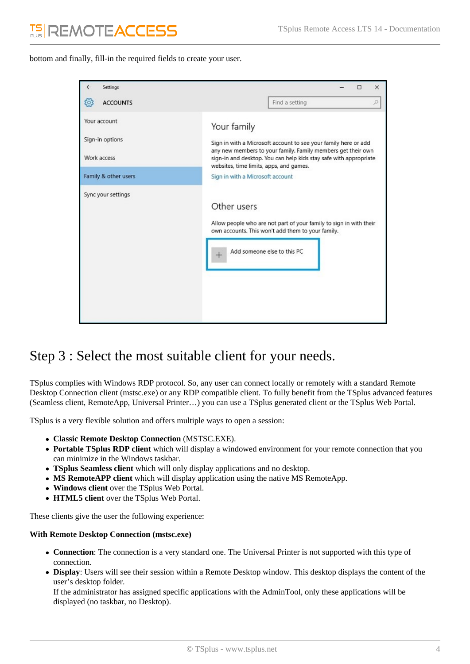bottom and finally, fill-in the required fields to create your user.

| Settings<br>←                                  |                                                                                                                                                                                                                     |                                                                                                                                                        | □ | × |  |  |  |
|------------------------------------------------|---------------------------------------------------------------------------------------------------------------------------------------------------------------------------------------------------------------------|--------------------------------------------------------------------------------------------------------------------------------------------------------|---|---|--|--|--|
| ÏÖ,<br><b>ACCOUNTS</b>                         |                                                                                                                                                                                                                     | Find a setting                                                                                                                                         |   | Q |  |  |  |
| Your account<br>Sign-in options<br>Work access | Your family<br>Sign in with a Microsoft account to see your family here or add<br>any new members to your family. Family members get their own<br>sign-in and desktop. You can help kids stay safe with appropriate |                                                                                                                                                        |   |   |  |  |  |
| Family & other users                           | websites, time limits, apps, and games.<br>Sign in with a Microsoft account                                                                                                                                         |                                                                                                                                                        |   |   |  |  |  |
| Sync your settings                             | Other users                                                                                                                                                                                                         | Allow people who are not part of your family to sign in with their<br>own accounts. This won't add them to your family.<br>Add someone else to this PC |   |   |  |  |  |

### Step 3 : Select the most suitable client for your needs.

TSplus complies with Windows RDP protocol. So, any user can connect locally or remotely with a standard Remote Desktop Connection client (mstsc.exe) or any RDP compatible client. To fully benefit from the TSplus advanced features (Seamless client, RemoteApp, Universal Printer…) you can use a TSplus generated client or the TSplus Web Portal.

TSplus is a very flexible solution and offers multiple ways to open a session:

- **Classic Remote Desktop Connection** (MSTSC.EXE).
- **Portable TSplus RDP client** which will display a windowed environment for your remote connection that you can minimize in the Windows taskbar.
- **TSplus Seamless client** which will only display applications and no desktop.
- **MS RemoteAPP client** which will display application using the native MS RemoteApp.
- **Windows client** over the TSplus Web Portal.
- **HTML5 client** over the TSplus Web Portal.

These clients give the user the following experience:

#### **With Remote Desktop Connection (mstsc.exe)**

- **Connection**: The connection is a very standard one. The Universal Printer is not supported with this type of connection.
- **Display**: Users will see their session within a Remote Desktop window. This desktop displays the content of the user's desktop folder.

If the administrator has assigned specific applications with the AdminTool, only these applications will be displayed (no taskbar, no Desktop).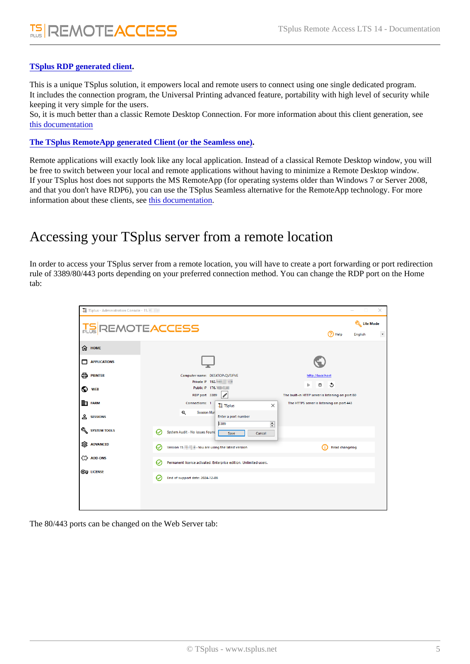### [TSplus RDP generated clien](/tsplus/portable-client-generator)t.

This is a unique TSplus solution, it empowers local and remote users to connect using one single dedicated program. It includes the connection program, the Universal Printing advanced feature, portability with high level of security while keeping it very simple for the users.

So, it is much better than a classic Remote Desktop Connection. For more information about this client generation, see [this documentatio](/tsplus/portable-client-generator)n

### [The TSplus RemoteApp generated Client \(or the Seamless o](/tsplus/remoteapp-seamless-connection-clients)ne) .

Remote applications will exactly look like any local application. Instead of a classical Remote Desktop window, you will be free to switch between your local and remote applications without having to minimize a Remote Desktop window. If your TSplus host does not supports the MS RemoteApp (for operating systems older than Windows 7 or Server 2008, and that you don't have RDP6), you can use the TSplus Seamless alternative for the RemoteApp technology. For more information about these clients, she documentation

### Accessing your TSplus server from a remote location

In order to access your TSplus server from a remote location, you will have to create a port forwarding or port redirection rule of 3389/80/443 ports depending on your preferred connection method. You can change the RDP port on the Home tab:

The 80/443 ports can be changed on the Web Server tab: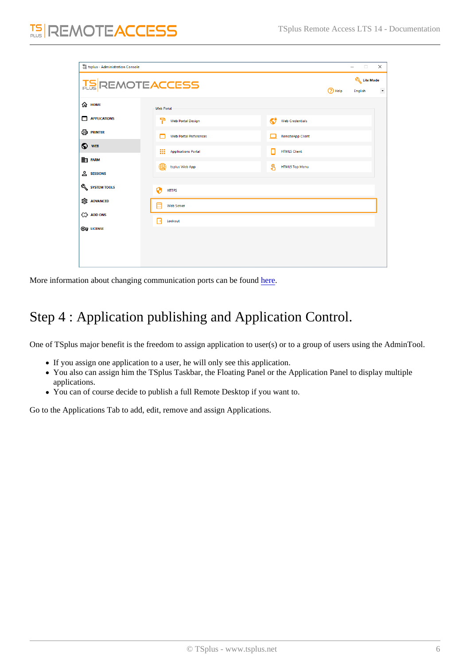More information about changing communication ports can be [found](/tsplus/services-and-ports)

# Step 4 : Application publishing and Application Control.

One of TSplus major benefit is the freedom to assign application to user(s) or to a group of users using the AdminTool.

- If you assign one application to a user, he will only see this application.
- You also can assign him the TSplus Taskbar, the Floating Panel or the Application Panel to display multiple applications.
- You can of course decide to publish a full Remote Desktop if you want to.

Go to the Applications Tab to add, edit, remove and assign Applications.